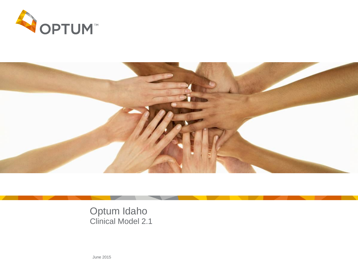



Optum Idaho Clinical Model 2.1

June 2015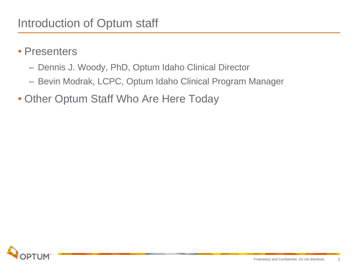- Presenters
	- Dennis J. Woody, PhD, Optum Idaho Clinical Director
	- Bevin Modrak, LCPC, Optum Idaho Clinical Program Manager
- Other Optum Staff Who Are Here Today

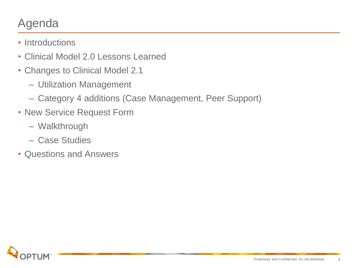# Agenda

- Introductions
- Clinical Model 2.0 Lessons Learned
- Changes to Clinical Model 2.1
	- Utilization Management
	- Category 4 additions (Case Management, Peer Support)
- New Service Request Form
	- Walkthrough
	- Case Studies
- Questions and Answers

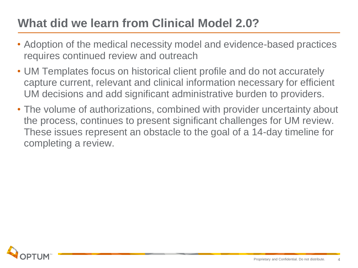# **What did we learn from Clinical Model 2.0?**

- Adoption of the medical necessity model and evidence-based practices requires continued review and outreach
- UM Templates focus on historical client profile and do not accurately capture current, relevant and clinical information necessary for efficient UM decisions and add significant administrative burden to providers.
- The volume of authorizations, combined with provider uncertainty about the process, continues to present significant challenges for UM review. These issues represent an obstacle to the goal of a 14-day timeline for completing a review.

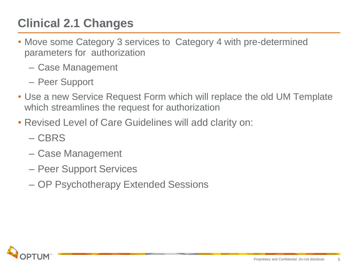# **Clinical 2.1 Changes**

- Move some Category 3 services to Category 4 with pre-determined parameters for authorization
	- Case Management
	- Peer Support
- Use a new Service Request Form which will replace the old UM Template which streamlines the request for authorization
- Revised Level of Care Guidelines will add clarity on:
	- CBRS
	- Case Management
	- Peer Support Services
	- OP Psychotherapy Extended Sessions

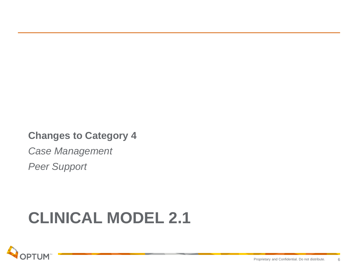### **Changes to Category 4**

*Case Management*

*Peer Support*

# **CLINICAL MODEL 2.1**

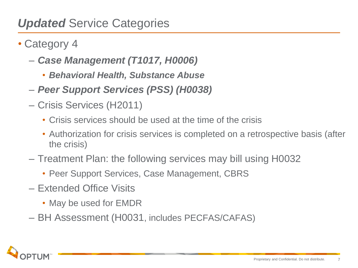## *Updated* Service Categories

- Category 4
	- *Case Management (T1017, H0006)*
		- *Behavioral Health, Substance Abuse*
	- *Peer Support Services (PSS) (H0038)*
	- Crisis Services (H2011)
		- Crisis services should be used at the time of the crisis
		- Authorization for crisis services is completed on a retrospective basis (after the crisis)
	- Treatment Plan: the following services may bill using H0032
		- Peer Support Services, Case Management, CBRS
	- Extended Office Visits
		- May be used for EMDR
	- BH Assessment (H0031, includes PECFAS/CAFAS)

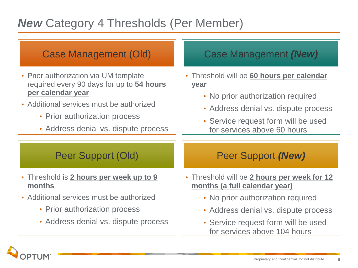# *New* Category 4 Thresholds (Per Member)

| <b>Case Management (Old)</b>                                                                                                                                                                                                 | <b>Case Management (New)</b>                                                                                                                                                                                           |
|------------------------------------------------------------------------------------------------------------------------------------------------------------------------------------------------------------------------------|------------------------------------------------------------------------------------------------------------------------------------------------------------------------------------------------------------------------|
| • Prior authorization via UM template<br>required every 90 days for up to 54 hours<br>per calendar year<br>• Additional services must be authorized<br>• Prior authorization process<br>• Address denial vs. dispute process | Threshold will be 60 hours per calendar<br>$\bullet$<br><u>year</u><br>• No prior authorization required<br>• Address denial vs. dispute process<br>• Service request form will be used<br>for services above 60 hours |
| Peer Support (Old)                                                                                                                                                                                                           | Peer Support (New)                                                                                                                                                                                                     |
| . Threshold is 2 hours per week up to 9<br>months                                                                                                                                                                            | . Threshold will be 2 hours per week for 12<br>months (a full calendar year)                                                                                                                                           |
| • Additional services must be authorized                                                                                                                                                                                     | • No prior authorization required                                                                                                                                                                                      |
| • Prior authorization process                                                                                                                                                                                                | • Address denial vs. dispute process                                                                                                                                                                                   |
| • Address denial vs. dispute process                                                                                                                                                                                         | • Service request form will be used<br>for services above 104 hours                                                                                                                                                    |

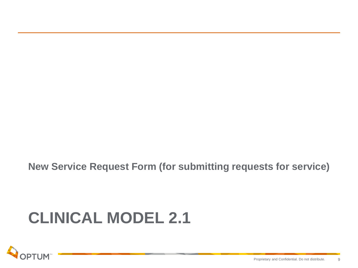**New Service Request Form (for submitting requests for service)**

# **CLINICAL MODEL 2.1**

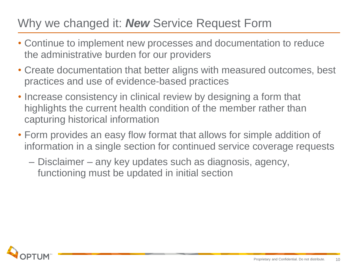# Why we changed it: *New* Service Request Form

- Continue to implement new processes and documentation to reduce the administrative burden for our providers
- Create documentation that better aligns with measured outcomes, best practices and use of evidence-based practices
- Increase consistency in clinical review by designing a form that highlights the current health condition of the member rather than capturing historical information
- Form provides an easy flow format that allows for simple addition of information in a single section for continued service coverage requests
	- Disclaimer any key updates such as diagnosis, agency, functioning must be updated in initial section

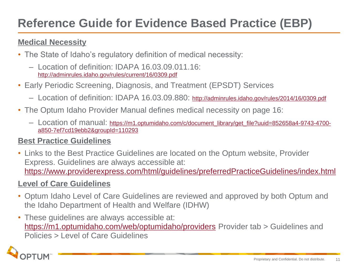# **Reference Guide for Evidence Based Practice (EBP)**

### **Medical Necessity**

- The State of Idaho's regulatory definition of medical necessity:
	- Location of definition: IDAPA 16.03.09.011.16: <http://adminrules.idaho.gov/rules/current/16/0309.pdf>
- Early Periodic Screening, Diagnosis, and Treatment (EPSDT) Services
	- Location of definition: IDAPA 16.03.09.880: <http://adminrules.idaho.gov/rules/2014/16/0309.pdf>
- The Optum Idaho Provider Manual defines medical necessity on page 16:
	- Location of manual: [https://m1.optumidaho.com/c/document\\_library/get\\_file?uuid=852658a4-9743-4700](https://m1.optumidaho.com/c/document_library/get_file?uuid=852658a4-9743-4700-a850-7ef7cd19ebb2&groupId=110293) [a850-7ef7cd19ebb2&groupId=110293](https://m1.optumidaho.com/c/document_library/get_file?uuid=852658a4-9743-4700-a850-7ef7cd19ebb2&groupId=110293)

### **Best Practice Guidelines**

• Links to the Best Practice Guidelines are located on the Optum website, Provider Express. Guidelines are always accessible at: <https://www.providerexpress.com/html/guidelines/preferredPracticeGuidelines/index.html>

### **Level of Care Guidelines**

- Optum Idaho Level of Care Guidelines are reviewed and approved by both Optum and the Idaho Department of Health and Welfare (IDHW)
- These guidelines are always accessible at: <https://m1.optumidaho.com/web/optumidaho/providers> Provider tab > Guidelines and Policies > Level of Care Guidelines

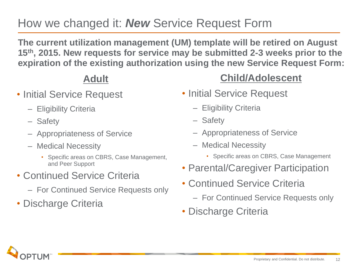# How we changed it: *New* Service Request Form

**The current utilization management (UM) template will be retired on August 15th, 2015. New requests for service may be submitted 2-3 weeks prior to the expiration of the existing authorization using the new Service Request Form:**

### **Adult**

- Initial Service Request
	- Eligibility Criteria
	- Safety
	- Appropriateness of Service
	- Medical Necessity
		- Specific areas on CBRS, Case Management, and Peer Support
- Continued Service Criteria
	- For Continued Service Requests only
- Discharge Criteria

### **Child/Adolescent**

- Initial Service Request
	- Eligibility Criteria
	- Safety
	- Appropriateness of Service
	- Medical Necessity
		- Specific areas on CBRS, Case Management
- Parental/Caregiver Participation
- Continued Service Criteria
	- For Continued Service Requests only
- Discharge Criteria

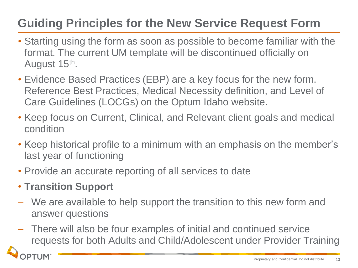# **Guiding Principles for the New Service Request Form**

- Starting using the form as soon as possible to become familiar with the format. The current UM template will be discontinued officially on August 15<sup>th</sup>.
- Evidence Based Practices (EBP) are a key focus for the new form. Reference Best Practices, Medical Necessity definition, and Level of Care Guidelines (LOCGs) on the Optum Idaho website.
- Keep focus on Current, Clinical, and Relevant client goals and medical condition
- Keep historical profile to a minimum with an emphasis on the member's last year of functioning
- Provide an accurate reporting of all services to date
- **Transition Support**
- We are available to help support the transition to this new form and answer questions
- There will also be four examples of initial and continued service requests for both Adults and Child/Adolescent under Provider Training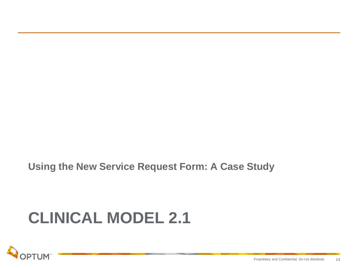**Using the New Service Request Form: A Case Study**

# **CLINICAL MODEL 2.1**

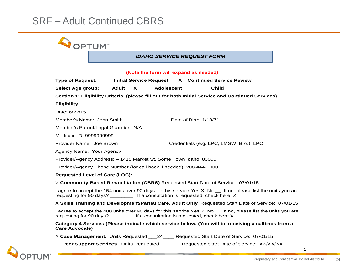$\blacktriangle$ 

| <b>OPTUM</b>                                                                                                                                                                                       |  |
|----------------------------------------------------------------------------------------------------------------------------------------------------------------------------------------------------|--|
| <b>IDAHO SERVICE REQUEST FORM</b>                                                                                                                                                                  |  |
| (Note the form will expand as needed)                                                                                                                                                              |  |
| Type of Request: _____Initial Service Request __X__Continued Service Review                                                                                                                        |  |
| Adult X Adolescent<br>Child<br>Select Age group:                                                                                                                                                   |  |
| Section 1: Eligibility Criteria (please fill out for both Initial Service and Continued Services)                                                                                                  |  |
| <b>Eligibility</b>                                                                                                                                                                                 |  |
| Date: 6/22/15                                                                                                                                                                                      |  |
| Member's Name: John Smith<br>Date of Birth: 1/18/71                                                                                                                                                |  |
| Member's Parent/Legal Guardian: N/A                                                                                                                                                                |  |
| Medicaid ID: 9999999999                                                                                                                                                                            |  |
| Provider Name: Joe Brown<br>Credentials (e.g. LPC, LMSW, B.A.): LPC                                                                                                                                |  |
| Agency Name: Your Agency                                                                                                                                                                           |  |
| Provider/Agency Address: - 1415 Market St. Some Town Idaho, 83000                                                                                                                                  |  |
| Provider/Agency Phone Number (for call back if needed): 208-444-0000                                                                                                                               |  |
| <b>Requested Level of Care (LOC):</b>                                                                                                                                                              |  |
| X Community-Based Rehabilitation (CBRS) Requested Start Date of Service: 07/01/15                                                                                                                  |  |
| I agree to accept the 154 units over 90 days for this service Yes X No _ If no, please list the units you are<br>requesting for 90 days? ____________ If a consultation is requested, check here X |  |
| X Skills Training and Development/Partial Care. Adult Only Requested Start Date of Service: 07/01/15                                                                                               |  |
| I agree to accept the 480 units over 90 days for this service Yes X No the no, please list the units you are<br>requesting for 90 days? _________ If a consultation is requested, check here X     |  |
| Category 4 Services (Please indicate which service below. (You will be receiving a callback from a<br><b>Care Advocate)</b>                                                                        |  |
| X Case Management. Units Requested 24 Requested Start Date of Service: 07/01/15                                                                                                                    |  |
| <b>__ Peer Support Services.</b> Units Requested ______ Requested Start Date of Service: XX/XX/XX                                                                                                  |  |



1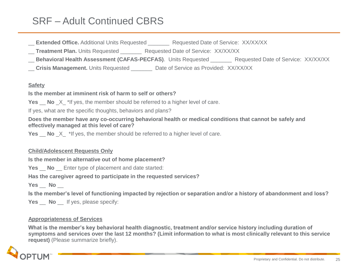**Extended Office.** Additional Units Requested **Requested Date of Service: XX/XX/XX** 

**Treatment Plan.** Units Requested **Requested Date of Service: XX/XX/XX** 

**Behavioral Health Assessment (CAFAS-PECFAS)**. Units Requested **Requested Date of Service: XX/XX/XX** 

**Crisis Management.** Units Requested **Date of Service as Provided: XX/XX/XX** 

#### **Safety**

**Is the member at imminent risk of harm to self or others?** 

**Yes** No X \*If yes, the member should be referred to a higher level of care.

If yes, what are the specific thoughts, behaviors and plans?

**Does the member have any co-occurring behavioral health or medical conditions that cannot be safely and effectively managed at this level of care?**

**Yes** \_\_ **No** \_X\_ \*If yes, the member should be referred to a higher level of care.

#### **Child/Adolescent Requests Only**

**Is the member in alternative out of home placement?** 

**Yes** No Enter type of placement and date started:

**Has the caregiver agreed to participate in the requested services?**

**Yes** \_\_ **No** \_\_

**Is the member's level of functioning impacted by rejection or separation and/or a history of abandonment and loss?**

**Yes** No If yes, please specify:

#### **Appropriateness of Services**

**What is the member's key behavioral health diagnostic, treatment and/or service history including duration of symptoms and services over the last 12 months? (Limit information to what is most clinically relevant to this service request)** (Please summarize briefly).

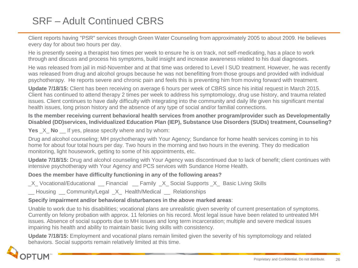Client reports having "PSR" services through Green Water Counseling from approximately 2005 to about 2009. He believes every day for about two hours per day.

He is presently seeing a therapist two times per week to ensure he is on track, not self-medicating, has a place to work through and discuss and process his symptoms, build insight and increase awareness related to his dual diagnoses.

He was released from jail in mid-November and at that time was ordered to Level I SUD treatment. However, he was recently was released from drug and alcohol groups because he was not benefitting from those groups and provided with individual psychotherapy. He reports severe and chronic pain and feels this is preventing him from moving forward with treatment.

**Update 7/18/15:** Client has been receiving on average 6 hours per week of CBRS since his initial request in March 2015. Client has continued to attend therapy 2 times per week to address his symptomology, drug use history, and trauma related issues. Client continues to have daily difficulty with integrating into the community and daily life given his significant mental health issues, long prison history and the absence of any type of social and/or familial connections.

#### **Is the member receiving current behavioral health services from another program/provider such as Developmentally Disabled (DD)services, Individualized Education Plan (IEP), Substance Use Disorders (SUDs) treatment, Counseling?**

**Yes**  $X$  **No** If yes, please specify where and by whom:

Drug and alcohol counseling; MH psychotherapy with Your Agency; Sundance for home health services coming in to his home for about four total hours per day. Two hours in the morning and two hours in the evening. They do medication monitoring, light housework, getting to some of his appointments, etc.

**Update 7/18/15:** Drug and alcohol counseling with Your Agency was discontinued due to lack of benefit; client continues with intensive psychotherapy with Your Agency and PCS services with Sundance Home Health.

#### **Does the member have difficulty functioning in any of the following areas?**

\_X\_ Vocational/Educational \_\_ Financial \_\_ Family \_X\_ Social Supports \_X\_ Basic Living Skills

Housing Community/Legal X Health/Medical Relationships

#### **Specify impairment and/or behavioral disturbances in the above marked areas**:

Unable to work due to his disabilities; vocational plans are unrealistic given severity of current presentation of symptoms. Currently on felony probation with approx. 11 felonies on his record. Most legal issue have been related to untreated MH issues. Absence of social supports due to MH issues and long term incarceration; multiple and severe medical issues impairing his health and ability to maintain basic living skills with consistency.

**Update 7/18/15:** Employment and vocational plans remain limited given the severity of his symptomology and related behaviors. Social supports remain relatively limited at this time.

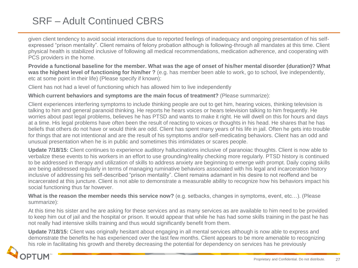given client tendency to avoid social interactions due to reported feelings of inadequacy and ongoing presentation of his selfexpressed "prison mentality". Client remains of felony probation although is following-through all mandates at this time. Client physical health is stabilized inclusive of following all medical recommendations, medication adherence, and cooperating with PCS providers in the home.

**Provide a functional baseline for the member. What was the age of onset of his/her mental disorder (duration)? What was the highest level of functioning for him/her ?** (e.g. has member been able to work, go to school, live independently, etc at some point in their life) (Please specify if known):

Client has not had a level of functioning which has allowed him to live independently

#### **Which current behaviors and symptoms are the main focus of treatment?** (Please summarize):

Client experiences interfering symptoms to include thinking people are out to get him, hearing voices, thinking television is talking to him and general paranoid thinking. He reports he hears voices or hears television talking to him frequently. He worries about past legal problems, believes he has PTSD and wants to make it right. He will dwell on this for hours and days at a time. His legal problems have often been the result of reacting to voices or thoughts in his head. He shares that he has beliefs that others do not have or would think are odd. Client has spent many years of his life in jail. Often he gets into trouble for things that are not intentional and are the result of his symptoms and/or self-medicating behaviors. Client has an odd and unusual presentation when he is in public and sometimes this intimidates or scares people.

**Update 7/18/15:** Client continues to experience auditory hallucinations inclusive of paranoiac thoughts. Client is now able to verbalize these events to his workers in an effort to use grounding/reality checking more regularly. PTSD history is continued to be addressed in therapy and utilization of skills to address anxiety are beginning to emerge with prompt. Daily coping skills are being addressed regularly in terms of managing ruminative behaviors associated with his legal and incarceration history inclusive of addressing his self-described "prison mentality". Client remains adamant in his desire to not reoffend and be incarcerated at this juncture. Client is not able to demonstrate a measurable ability to recognize how his behaviors impact his social functioning thus far however.

**What is the reason the member needs this service now?** (e.g. setbacks, changes in symptoms, event, etc…). (Please summarize):

At this time his sister and he are asking for these services and as many services as are available to him need to be provided to keep him out of jail and the hospital or prison. It would appear that while he has had some skills training in the past he has not really had intensive skills training and thus would significantly benefit from them.

**Update 7/18/15:** Client was originally hesitant about engaging in all mental services although is now able to express and demonstrate the benefits he has experienced over the last few months. Client appears to be more amenable to recognizing his role in facilitating his growth and thereby decreasing the potential for dependency on services has he previously

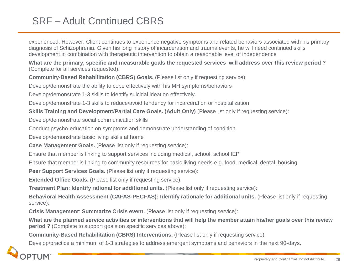experienced. However, Client continues to experience negative symptoms and related behaviors associated with his primary diagnosis of Schizophrenia. Given his long history of incarceration and trauma events, he will need continued skills development in combination with therapeutic intervention to obtain a reasonable level of independence

**What are the primary, specific and measurable goals the requested services will address over this review period ?**  (Complete for all services requested):

**Community-Based Rehabilitation (CBRS) Goals.** (Please list only if requesting service):

Develop/demonstrate the ability to cope effectively with his MH symptoms/behaviors

Develop/demonstrate 1-3 skills to identify suicidal ideation effectively.

Develop/demonstrate 1-3 skills to reduce/avoid tendency for incarceration or hospitalization

**Skills Training and Development/Partial Care Goals. (Adult Only)** (Please list only if requesting service):

Develop/demonstrate social communication skills

Conduct psycho-education on symptoms and demonstrate understanding of condition

Develop/demonstrate basic living skills at home

**Case Management Goals.** (Please list only if requesting service):

Ensure that member is linking to support services including medical, school, school IEP

Ensure that member is linking to community resources for basic living needs e.g. food, medical, dental, housing

**Peer Support Services Goals.** (Please list only if requesting service):

**Extended Office Goals.** (Please list only if requesting service):

**Treatment Plan: Identify rational for additional units.** (Please list only if requesting service):

**Behavioral Health Assessment (CAFAS-PECFAS): Identify rationale for additional units.** (Please list only if requesting service):

**Crisis Management**: **Summarize Crisis event.** (Please list only if requesting service):

**What are the planned service activities or interventions that will help the member attain his/her goals over this review period ?** (Complete to support goals on specific services above):

**Community-Based Rehabilitation (CBRS) Interventions.** (Please list only if requesting service):

Develop/practice a minimum of 1-3 strategies to address emergent symptoms and behaviors in the next 90-days.

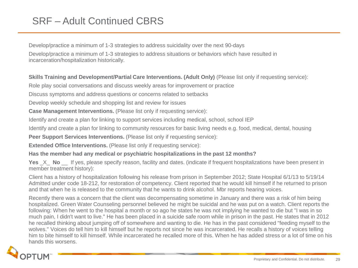Develop/practice a minimum of 1-3 strategies to address suicidality over the next 90-days

Develop/practice a minimum of 1-3 strategies to address situations or behaviors which have resulted in incarceration/hospitalization historically.

**Skills Training and Development/Partial Care Interventions. (Adult Only)** (Please list only if requesting service):

Role play social conversations and discuss weekly areas for improvement or practice

Discuss symptoms and address questions or concerns related to setbacks

Develop weekly schedule and shopping list and review for issues

**Case Management Interventions.** (Please list only if requesting service):

Identify and create a plan for linking to support services including medical, school, school IEP

Identify and create a plan for linking to community resources for basic living needs e.g. food, medical, dental, housing

**Peer Support Services Interventions.** (Please list only if requesting service):

**Extended Office Interventions.** (Please list only if requesting service):

**Has the member had any medical or psychiatric hospitalizations in the past 12 months?** 

**Yes**  $\chi$  **No** If yes, please specify reason, facility and dates. (indicate if frequent hospitalizations have been present in member treatment history):

Client has a history of hospitalization following his release from prison in September 2012; State Hospital 6/1/13 to 5/19/14 Admitted under code 18-212, for restoration of competency. Client reported that he would kill himself if he returned to prison and that when he is released to the community that he wants to drink alcohol. Mbr reports hearing voices.

Recently there was a concern that the client was decompensating sometime in January and there was a risk of him being hospitalized. Green Water Counseling personnel believed he might be suicidal and he was put on a watch. Client reports the following: When he went to the hospital a month or so ago he states he was not implying he wanted to die but "I was in so much pain, I didn't want to live." He has been placed in a suicide safe room while in prison in the past. He states that in 2012 he recalled thinking about jumping off of somewhere and wanting to die. He has in the past considered "feeding myself to the wolves." Voices do tell him to kill himself but he reports not since he was incarcerated. He recalls a history of voices telling him to bite himself to kill himself. While incarcerated he recalled more of this. When he has added stress or a lot of time on his hands this worsens.

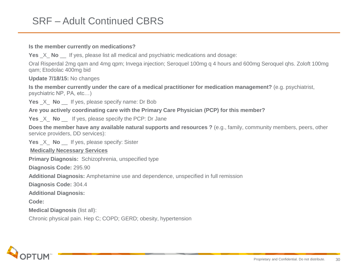#### **Is the member currently on medications?**

**Yes**  $\chi$  **No** If yes, please list all medical and psychiatric medications and dosage:

Oral Risperdal 2mg qam and 4mg qpm; Invega injection; Seroquel 100mg q 4 hours and 600mg Seroquel qhs. Zoloft 100mg qam; Etodolac 400mg bid

**Update 7/18/15:** No changes

**Is the member currently under the care of a medical practitioner for medication management?** (e.g. psychiatrist, psychiatric NP, PA, etc…)

**Yes** X **No** If yes, please specify name: Dr Bob

**Are you actively coordinating care with the Primary Care Physician (PCP) for this member?**

**Yes** X **No** If yes, please specify the PCP: Dr Jane

**Does the member have any available natural supports and resources ?** (e.g., family, community members, peers, other service providers, DD services):

**Yes** \_X\_ **No** \_\_ If yes, please specify: Sister

**Medically Necessary Services** 

**Primary Diagnosis:** Schizophrenia, unspecified type

**Diagnosis Code:** 295.90

**Additional Diagnosis:** Amphetamine use and dependence, unspecified in full remission

**Diagnosis Code:** 304.4

**Additional Diagnosis:** 

**Code:** 

**Medical Diagnosis** (list all):

Chronic physical pain. Hep C; COPD; GERD; obesity, hypertension

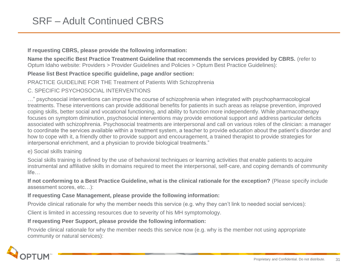#### **If requesting CBRS, please provide the following information:**

**Name the specific Best Practice Treatment Guideline that recommends the services provided by CBRS.** (refer to Optum Idaho website: Providers > Provider Guidelines and Policies > Optum Best Practice Guidelines):

#### **Please list Best Practice specific guideline, page and/or section:**

#### PRACTICE GUIDELINE FOR THE Treatment of Patients With Schizophrenia

#### C. SPECIFIC PSYCHOSOCIAL INTERVENTIONS

…" psychosocial interventions can improve the course of schizophrenia when integrated with psychopharmacological treatments. These interventions can provide additional benefits for patients in such areas as relapse prevention, improved coping skills, better social and vocational functioning, and ability to function more independently. While pharmacotherapy focuses on symptom diminution, psychosocial interventions may provide emotional support and address particular deficits associated with schizophrenia. Psychosocial treatments are interpersonal and call on various roles of the clinician: a manager to coordinate the services available within a treatment system, a teacher to provide education about the patient's disorder and how to cope with it, a friendly other to provide support and encouragement, a trained therapist to provide strategies for interpersonal enrichment, and a physician to provide biological treatments."

#### e) Social skills training

Social skills training is defined by the use of behavioral techniques or learning activities that enable patients to acquire instrumental and affiliative skills in domains required to meet the interpersonal, self-care, and coping demands of community life…

**If not conforming to a Best Practice Guideline, what is the clinical rationale for the exception?** (Please specify include assessment scores, etc…):

#### **If requesting Case Management, please provide the following information:**

Provide clinical rationale for why the member needs this service (e.g. why they can't link to needed social services):

Client is limited in accessing resources due to severity of his MH symptomology.

#### **If requesting Peer Support, please provide the following information:**

Provide clinical rationale for why the member needs this service now (e.g. why is the member not using appropriate community or natural services):

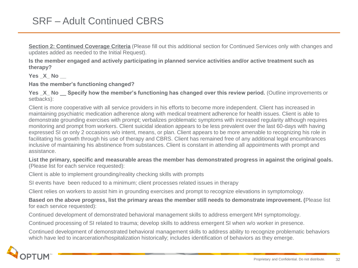**Section 2: Continued Coverage Criteria** (Please fill out this additional section for Continued Services only with changes and updates added as needed to the Initial Request).

**Is the member engaged and actively participating in planned service activities and/or active treatment such as therapy?** 

**Yes \_X\_ No \_\_** 

**Has the member's functioning changed?** 

**Yes X** No Specify how the member's functioning has changed over this review period. (Outline improvements or setbacks):

Client is more cooperative with all service providers in his efforts to become more independent. Client has increased in maintaining psychiatric medication adherence along with medical treatment adherence for health issues. Client is able to demonstrate grounding exercises with prompt; verbalizes problematic symptoms with increased regularity although requires monitoring and prompt from workers. Client suicidal ideation appears to be less prevalent over the last 60-days with having expressed SI on only 2 occasions w/o intent, means, or plan. Client appears to be more amenable to recognizing his role in facilitating his growth through his use of therapy and CBRS. Client has remained free of any additional legal encumbrances inclusive of maintaining his abstinence from substances. Client is constant in attending all appointments with prompt and assistance.

**List the primary, specific and measurable areas the member has demonstrated progress in against the original goals.** (Please list for each service requested):

Client is able to implement grounding/reality checking skills with prompts

SI events have been reduced to a minimum; client processes related issues in therapy

Client relies on workers to assist him in grounding exercises and prompt to recognize elevations in symptomology.

**Based on the above progress, list the primary areas the member still needs to demonstrate improvement. (**Please list for each service requested):

Continued development of demonstrated behavioral management skills to address emergent MH symptomology.

Continued processing of SI related to trauma; develop skills to address emergent SI when w/o worker in presence.

Continued development of demonstrated behavioral management skills to address ability to recognize problematic behaviors which have led to incarceration/hospitalization historically; includes identification of behaviors as they emerge.

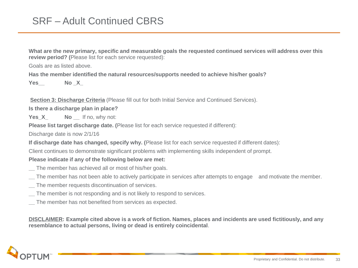**What are the new primary, specific and measurable goals the requested continued services will address over this review period? (**Please list for each service requested):

Goals are as listed above.

**Has the member identified the natural resources/supports needed to achieve his/her goals?** 

**Yes\_\_ No \_X\_**

**Section 3: Discharge Criteria** (Please fill out for both Initial Service and Continued Services).

**Is there a discharge plan in place?**

**Yes X No** If no, why not:

**Please list target discharge date. (**Please list for each service requested if different):

Discharge date is now 2/1/16

**If discharge date has changed, specify why. (**Please list for each service requested if different dates):

Client continues to demonstrate significant problems with implementing skills independent of prompt.

#### **Please indicate if any of the following below are met:**

- **\_\_** The member has achieved all or most of his/her goals.
- **\_\_** The member has not been able to actively participate in services after attempts to engage and motivate the member.
- **\_\_** The member requests discontinuation of services.
- **\_\_** The member is not responding and is not likely to respond to services.
- **\_\_** The member has not benefited from services as expected.

**DISCLAIMER: Example cited above is a work of fiction. Names, places and incidents are used fictitiously, and any resemblance to actual persons, living or dead is entirely coincidental**.

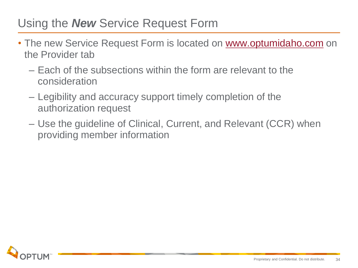## Using the *New* Service Request Form

- The new Service Request Form is located on [www.optumidaho.com](http://www.optumidaho.com/) on the Provider tab
	- Each of the subsections within the form are relevant to the consideration
	- Legibility and accuracy support timely completion of the authorization request
	- Use the guideline of Clinical, Current, and Relevant (CCR) when providing member information

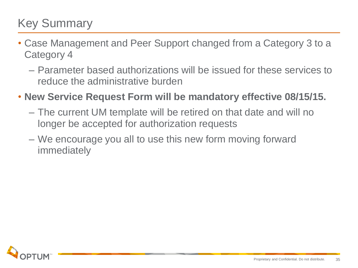# Key Summary

- Case Management and Peer Support changed from a Category 3 to a Category 4
	- Parameter based authorizations will be issued for these services to reduce the administrative burden
- **New Service Request Form will be mandatory effective 08/15/15.** 
	- The current UM template will be retired on that date and will no longer be accepted for authorization requests
	- We encourage you all to use this new form moving forward immediately

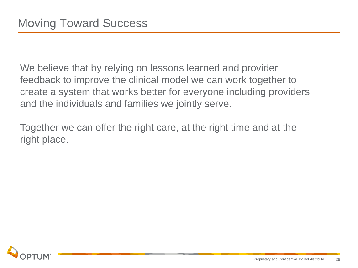We believe that by relying on lessons learned and provider feedback to improve the clinical model we can work together to create a system that works better for everyone including providers and the individuals and families we jointly serve.

Together we can offer the right care, at the right time and at the right place.